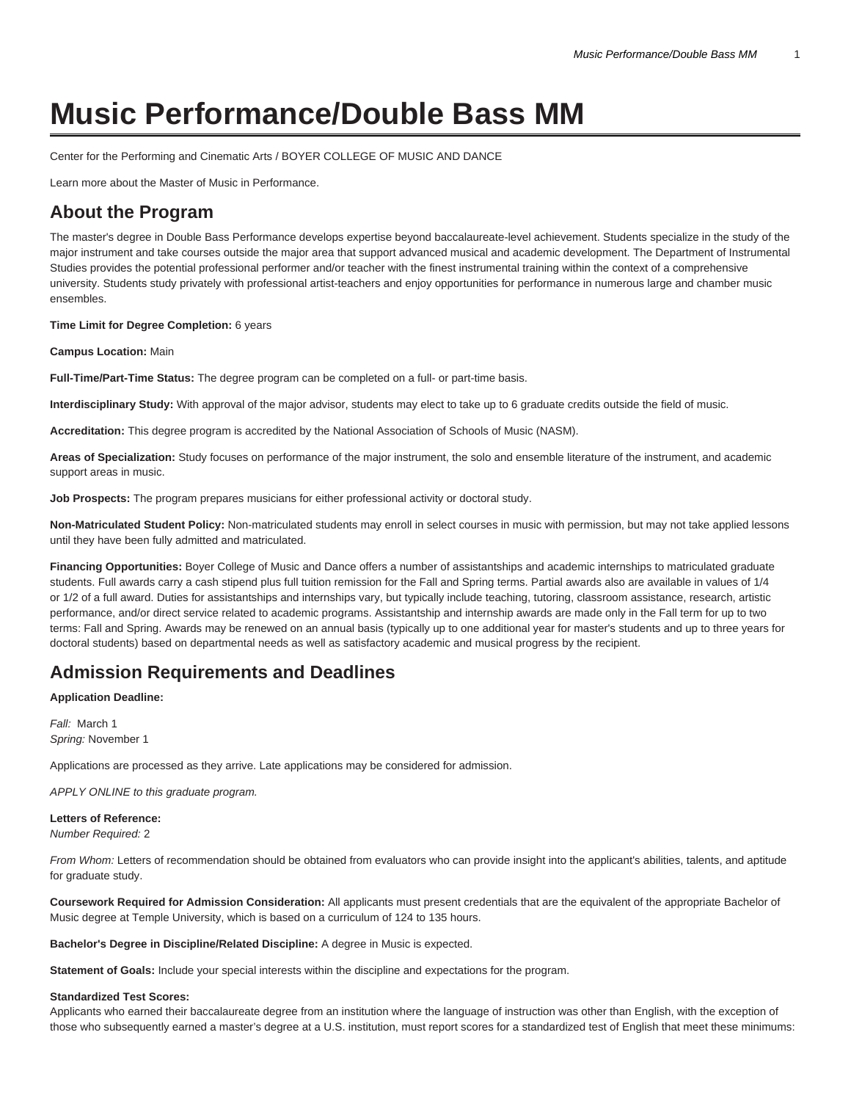# **Music Performance/Double Bass MM**

[Center for the Performing and Cinematic Arts / BOYER COLLEGE OF MUSIC AND DANCE](https://www.temple.edu/boyer/)

[Learn more about the Master of Music in Performance.](https://www.temple.edu/academics/degree-programs/performance-mm-bc-perf-mmus/)

### **About the Program**

The master's degree in Double Bass Performance develops expertise beyond baccalaureate-level achievement. Students specialize in the study of the major instrument and take courses outside the major area that support advanced musical and academic development. The Department of Instrumental Studies provides the potential professional performer and/or teacher with the finest instrumental training within the context of a comprehensive university. Students study privately with professional artist-teachers and enjoy opportunities for performance in numerous large and chamber music ensembles.

**Time Limit for Degree Completion:** 6 years

**Campus Location:** Main

**Full-Time/Part-Time Status:** The degree program can be completed on a full- or part-time basis.

**Interdisciplinary Study:** With approval of the major advisor, students may elect to take up to 6 graduate credits outside the field of music.

**Accreditation:** This degree program is accredited by the National Association of Schools of Music (NASM).

**Areas of Specialization:** Study focuses on performance of the major instrument, the solo and ensemble literature of the instrument, and academic support areas in music.

**Job Prospects:** The program prepares musicians for either professional activity or doctoral study.

**Non-Matriculated Student Policy:** Non-matriculated students may enroll in select courses in music with permission, but may not take applied lessons until they have been fully admitted and matriculated.

**Financing Opportunities:** Boyer College of Music and Dance offers a number of assistantships and academic internships to matriculated graduate students. Full awards carry a cash stipend plus full tuition remission for the Fall and Spring terms. Partial awards also are available in values of 1/4 or 1/2 of a full award. Duties for assistantships and internships vary, but typically include teaching, tutoring, classroom assistance, research, artistic performance, and/or direct service related to academic programs. Assistantship and internship awards are made only in the Fall term for up to two terms: Fall and Spring. Awards may be renewed on an annual basis (typically up to one additional year for master's students and up to three years for doctoral students) based on departmental needs as well as satisfactory academic and musical progress by the recipient.

### **Admission Requirements and Deadlines**

**Application Deadline:**

Fall: March 1 Spring: November 1

Applications are processed as they arrive. Late applications may be considered for admission.

APPLY ONLINE to this graduate program.

**Letters of Reference:** Number Required: 2

From Whom: Letters of recommendation should be obtained from evaluators who can provide insight into the applicant's abilities, talents, and aptitude for graduate study.

**Coursework Required for Admission Consideration:** All applicants must present credentials that are the equivalent of the appropriate Bachelor of Music degree at Temple University, which is based on a curriculum of 124 to 135 hours.

**Bachelor's Degree in Discipline/Related Discipline:** A degree in Music is expected.

**Statement of Goals:** Include your special interests within the discipline and expectations for the program.

#### **Standardized Test Scores:**

Applicants who earned their baccalaureate degree from an institution where the language of instruction was other than English, with the exception of those who subsequently earned a master's degree at a U.S. institution, must report scores for a standardized test of English that meet these minimums: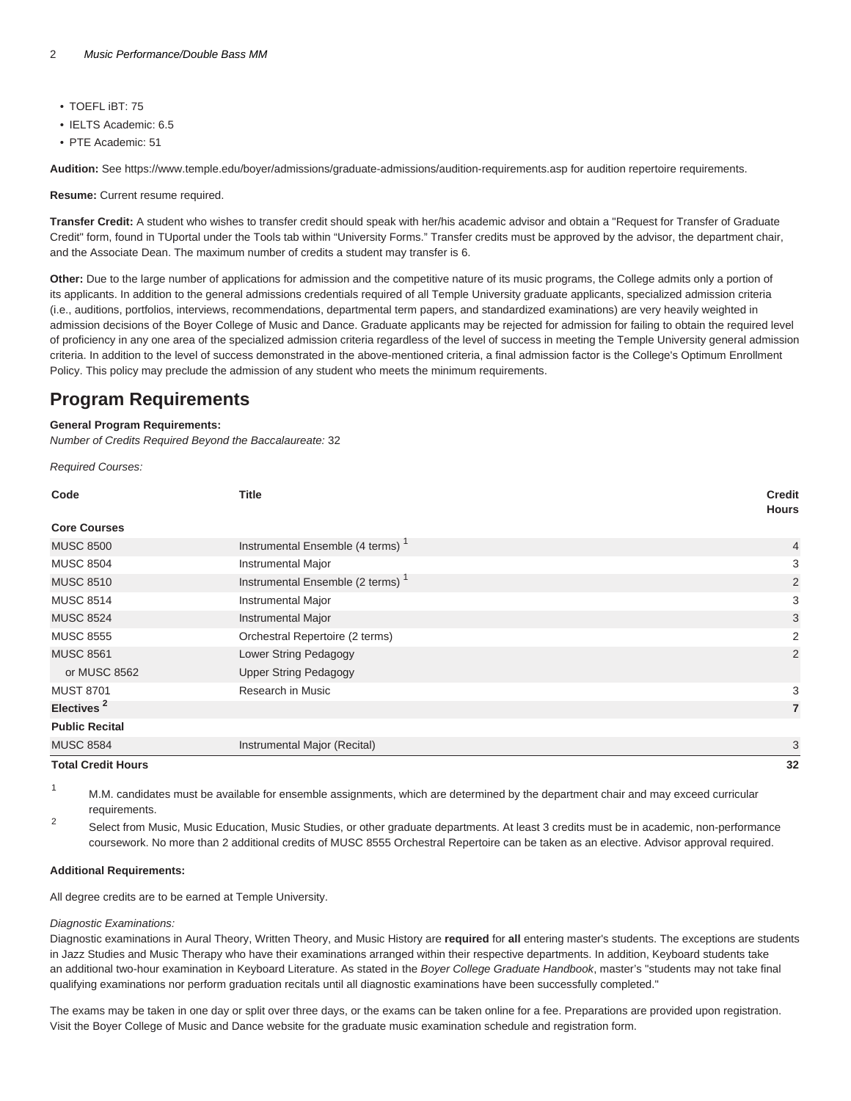- TOEFL iBT: 75
- IELTS Academic: 6.5
- PTE Academic: 51

**Audition:** See <https://www.temple.edu/boyer/admissions/graduate-admissions/audition-requirements.asp>for audition repertoire requirements.

**Resume:** Current resume required.

**Transfer Credit:** A student who wishes to transfer credit should speak with her/his academic advisor and obtain a "Request for Transfer of Graduate Credit" form, found in TUportal under the Tools tab within "University Forms." Transfer credits must be approved by the advisor, the department chair, and the Associate Dean. The maximum number of credits a student may transfer is 6.

**Other:** Due to the large number of applications for admission and the competitive nature of its music programs, the College admits only a portion of its applicants. In addition to the general admissions credentials required of all Temple University graduate applicants, specialized admission criteria (i.e., auditions, portfolios, interviews, recommendations, departmental term papers, and standardized examinations) are very heavily weighted in admission decisions of the Boyer College of Music and Dance. Graduate applicants may be rejected for admission for failing to obtain the required level of proficiency in any one area of the specialized admission criteria regardless of the level of success in meeting the Temple University general admission criteria. In addition to the level of success demonstrated in the above-mentioned criteria, a final admission factor is the College's Optimum Enrollment Policy. This policy may preclude the admission of any student who meets the minimum requirements.

### **Program Requirements**

#### **General Program Requirements:**

Number of Credits Required Beyond the Baccalaureate: 32

Required Courses:

| Code                      | <b>Title</b>                                 | <b>Credit</b><br><b>Hours</b> |
|---------------------------|----------------------------------------------|-------------------------------|
| <b>Core Courses</b>       |                                              |                               |
| <b>MUSC 8500</b>          | Instrumental Ensemble (4 terms) <sup>1</sup> | $\overline{4}$                |
| <b>MUSC 8504</b>          | <b>Instrumental Major</b>                    | 3                             |
| <b>MUSC 8510</b>          | Instrumental Ensemble (2 terms) <sup>1</sup> | $\overline{2}$                |
| <b>MUSC 8514</b>          | <b>Instrumental Major</b>                    | 3                             |
| <b>MUSC 8524</b>          | <b>Instrumental Major</b>                    | 3                             |
| <b>MUSC 8555</b>          | Orchestral Repertoire (2 terms)              | 2                             |
| <b>MUSC 8561</b>          | Lower String Pedagogy                        | $\overline{2}$                |
| or MUSC 8562              | <b>Upper String Pedagogy</b>                 |                               |
| <b>MUST 8701</b>          | Research in Music                            | 3                             |
| Electives <sup>2</sup>    |                                              | $\overline{7}$                |
| <b>Public Recital</b>     |                                              |                               |
| <b>MUSC 8584</b>          | Instrumental Major (Recital)                 | 3                             |
| <b>Total Credit Hours</b> |                                              | 32                            |

<sup>1</sup> M.M. candidates must be available for ensemble assignments, which are determined by the department chair and may exceed curricular requirements. 2

Select from Music, Music Education, Music Studies, or other graduate departments. At least 3 credits must be in academic, non-performance coursework. No more than 2 additional credits of MUSC 8555 Orchestral Repertoire can be taken as an elective. Advisor approval required.

#### **Additional Requirements:**

All degree credits are to be earned at Temple University.

#### Diagnostic Examinations:

Diagnostic examinations in Aural Theory, Written Theory, and Music History are **required** for **all** entering master's students. The exceptions are students in Jazz Studies and Music Therapy who have their examinations arranged within their respective departments. In addition, Keyboard students take an additional two-hour examination in Keyboard Literature. As stated in the Boyer College Graduate Handbook, master's "students may not take final qualifying examinations nor perform graduation recitals until all diagnostic examinations have been successfully completed."

The exams may be taken in one day or split over three days, or the exams can be taken online for a fee. Preparations are provided upon registration. Visit the Boyer College of Music and Dance website for the [graduate music examination schedule and registration form](https://boyer.temple.edu/admissions/graduate-diagnostic-exams-registration/).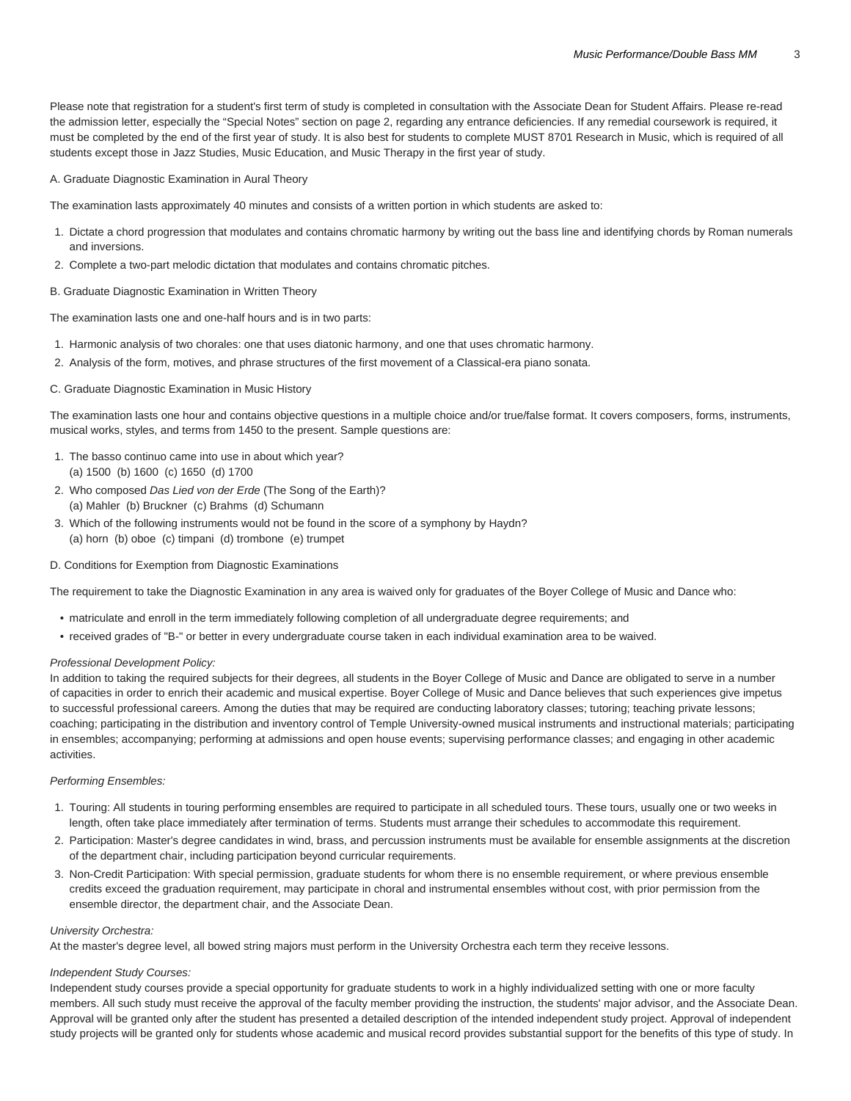Please note that registration for a student's first term of study is completed in consultation with the Associate Dean for Student Affairs. Please re-read the admission letter, especially the "Special Notes" section on page 2, regarding any entrance deficiencies. If any remedial coursework is required, it must be completed by the end of the first year of study. It is also best for students to complete MUST 8701 Research in Music, which is required of all students except those in Jazz Studies, Music Education, and Music Therapy in the first year of study.

A. Graduate Diagnostic Examination in Aural Theory

The examination lasts approximately 40 minutes and consists of a written portion in which students are asked to:

- 1. Dictate a chord progression that modulates and contains chromatic harmony by writing out the bass line and identifying chords by Roman numerals and inversions.
- 2. Complete a two-part melodic dictation that modulates and contains chromatic pitches.

#### B. Graduate Diagnostic Examination in Written Theory

The examination lasts one and one-half hours and is in two parts:

- 1. Harmonic analysis of two chorales: one that uses diatonic harmony, and one that uses chromatic harmony.
- 2. Analysis of the form, motives, and phrase structures of the first movement of a Classical-era piano sonata.

#### C. Graduate Diagnostic Examination in Music History

The examination lasts one hour and contains objective questions in a multiple choice and/or true/false format. It covers composers, forms, instruments, musical works, styles, and terms from 1450 to the present. Sample questions are:

- 1. The basso continuo came into use in about which year? (a) 1500 (b) 1600 (c) 1650 (d) 1700
- 2. Who composed Das Lied von der Erde (The Song of the Earth)? (a) Mahler (b) Bruckner (c) Brahms (d) Schumann
- 3. Which of the following instruments would not be found in the score of a symphony by Haydn? (a) horn (b) oboe (c) timpani (d) trombone (e) trumpet
- D. Conditions for Exemption from Diagnostic Examinations

The requirement to take the Diagnostic Examination in any area is waived only for graduates of the Boyer College of Music and Dance who:

- matriculate and enroll in the term immediately following completion of all undergraduate degree requirements; and
- received grades of "B-" or better in every undergraduate course taken in each individual examination area to be waived.

#### Professional Development Policy:

In addition to taking the required subjects for their degrees, all students in the Boyer College of Music and Dance are obligated to serve in a number of capacities in order to enrich their academic and musical expertise. Boyer College of Music and Dance believes that such experiences give impetus to successful professional careers. Among the duties that may be required are conducting laboratory classes; tutoring; teaching private lessons; coaching; participating in the distribution and inventory control of Temple University-owned musical instruments and instructional materials; participating in ensembles; accompanying; performing at admissions and open house events; supervising performance classes; and engaging in other academic activities.

#### Performing Ensembles:

- 1. Touring: All students in touring performing ensembles are required to participate in all scheduled tours. These tours, usually one or two weeks in length, often take place immediately after termination of terms. Students must arrange their schedules to accommodate this requirement.
- 2. Participation: Master's degree candidates in wind, brass, and percussion instruments must be available for ensemble assignments at the discretion of the department chair, including participation beyond curricular requirements.
- 3. Non-Credit Participation: With special permission, graduate students for whom there is no ensemble requirement, or where previous ensemble credits exceed the graduation requirement, may participate in choral and instrumental ensembles without cost, with prior permission from the ensemble director, the department chair, and the Associate Dean.

#### University Orchestra:

At the master's degree level, all bowed string majors must perform in the University Orchestra each term they receive lessons.

#### Independent Study Courses:

Independent study courses provide a special opportunity for graduate students to work in a highly individualized setting with one or more faculty members. All such study must receive the approval of the faculty member providing the instruction, the students' major advisor, and the Associate Dean. Approval will be granted only after the student has presented a detailed description of the intended independent study project. Approval of independent study projects will be granted only for students whose academic and musical record provides substantial support for the benefits of this type of study. In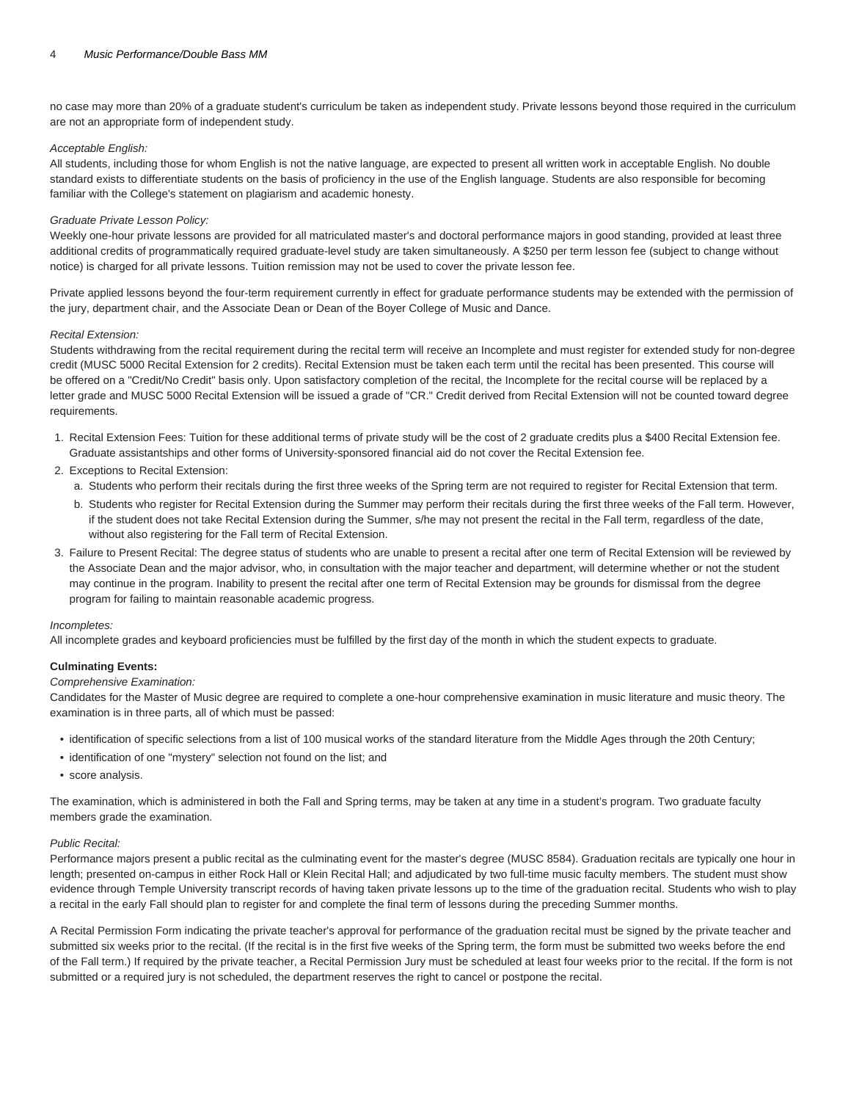no case may more than 20% of a graduate student's curriculum be taken as independent study. Private lessons beyond those required in the curriculum are not an appropriate form of independent study.

#### Acceptable English:

All students, including those for whom English is not the native language, are expected to present all written work in acceptable English. No double standard exists to differentiate students on the basis of proficiency in the use of the English language. Students are also responsible for becoming familiar with the College's statement on plagiarism and academic honesty.

#### Graduate Private Lesson Policy:

Weekly one-hour private lessons are provided for all matriculated master's and doctoral performance majors in good standing, provided at least three additional credits of programmatically required graduate-level study are taken simultaneously. A \$250 per term lesson fee (subject to change without notice) is charged for all private lessons. Tuition remission may not be used to cover the private lesson fee.

Private applied lessons beyond the four-term requirement currently in effect for graduate performance students may be extended with the permission of the jury, department chair, and the Associate Dean or Dean of the Boyer College of Music and Dance.

#### Recital Extension:

Students withdrawing from the recital requirement during the recital term will receive an Incomplete and must register for extended study for non-degree credit (MUSC 5000 Recital Extension for 2 credits). Recital Extension must be taken each term until the recital has been presented. This course will be offered on a "Credit/No Credit" basis only. Upon satisfactory completion of the recital, the Incomplete for the recital course will be replaced by a letter grade and MUSC 5000 Recital Extension will be issued a grade of "CR." Credit derived from Recital Extension will not be counted toward degree requirements.

- 1. Recital Extension Fees: Tuition for these additional terms of private study will be the cost of 2 graduate credits plus a \$400 Recital Extension fee. Graduate assistantships and other forms of University-sponsored financial aid do not cover the Recital Extension fee.
- 2. Exceptions to Recital Extension:
	- a. Students who perform their recitals during the first three weeks of the Spring term are not required to register for Recital Extension that term.
	- b. Students who register for Recital Extension during the Summer may perform their recitals during the first three weeks of the Fall term. However, if the student does not take Recital Extension during the Summer, s/he may not present the recital in the Fall term, regardless of the date, without also registering for the Fall term of Recital Extension.
- 3. Failure to Present Recital: The degree status of students who are unable to present a recital after one term of Recital Extension will be reviewed by the Associate Dean and the major advisor, who, in consultation with the major teacher and department, will determine whether or not the student may continue in the program. Inability to present the recital after one term of Recital Extension may be grounds for dismissal from the degree program for failing to maintain reasonable academic progress.

#### Incompletes:

All incomplete grades and keyboard proficiencies must be fulfilled by the first day of the month in which the student expects to graduate.

#### **Culminating Events:**

#### Comprehensive Examination:

Candidates for the Master of Music degree are required to complete a one-hour comprehensive examination in music literature and music theory. The examination is in three parts, all of which must be passed:

- identification of specific selections from a list of 100 musical works of the standard literature from the Middle Ages through the 20th Century;
- identification of one "mystery" selection not found on the list; and
- score analysis.

The examination, which is administered in both the Fall and Spring terms, may be taken at any time in a student's program. Two graduate faculty members grade the examination.

#### Public Recital:

Performance majors present a public recital as the culminating event for the master's degree (MUSC 8584). Graduation recitals are typically one hour in length; presented on-campus in either Rock Hall or Klein Recital Hall; and adjudicated by two full-time music faculty members. The student must show evidence through Temple University transcript records of having taken private lessons up to the time of the graduation recital. Students who wish to play a recital in the early Fall should plan to register for and complete the final term of lessons during the preceding Summer months.

A Recital Permission Form indicating the private teacher's approval for performance of the graduation recital must be signed by the private teacher and submitted six weeks prior to the recital. (If the recital is in the first five weeks of the Spring term, the form must be submitted two weeks before the end of the Fall term.) If required by the private teacher, a Recital Permission Jury must be scheduled at least four weeks prior to the recital. If the form is not submitted or a required jury is not scheduled, the department reserves the right to cancel or postpone the recital.